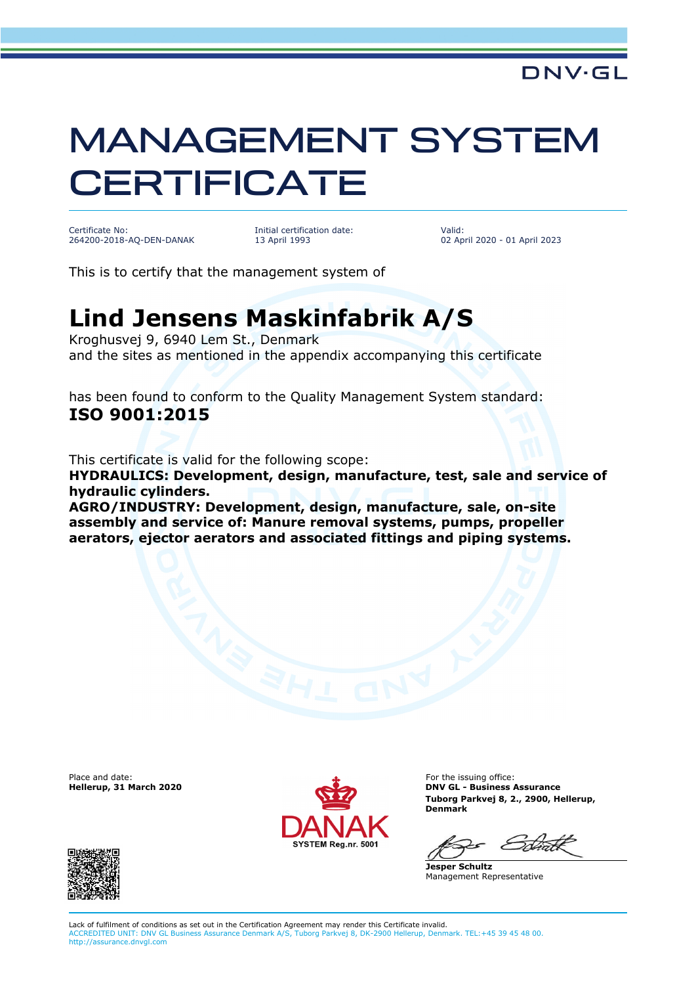## MANAGEMENT SYSTEM **CERTIFICATE**

Certificate No: 264200-2018-AQ-DEN-DANAK Initial certification date: 13 April 1993

Valid: 02 April 2020 - 01 April 2023

This is to certify that the management system of

## **Lind Jensens Maskinfabrik A/S**

Kroghusvej 9, 6940 Lem St., Denmark and the sites as mentioned in the appendix accompanying this certificate

has been found to conform to the Quality Management System standard: **ISO 9001:2015**

This certificate is valid for the following scope:

**HYDRAULICS: Development, design, manufacture, test, sale and service of hydraulic cylinders.** 

**AGRO/INDUSTRY: Development, design, manufacture, sale, on-site assembly and service of: Manure removal systems, pumps, propeller aerators, ejector aerators and associated fittings and piping systems.**

Place and date:<br>Hellerup, 31 March 2020



For the issuing office: **DNV GL - Business Assurance Tuborg Parkvej 8, 2., 2900, Hellerup, Denmark**

**Jesper Schultz** Management Representative



Lack of fulfilment of conditions as set out in the Certification Agreement may render this Certificate invalid. ACCREDITED UNIT: DNV GL Business Assurance Denmark A/S, Tuborg Parkvej 8, DK-2900 Hellerup, Denmark. TEL:+45 39 45 48 00. http://assurance.dnvgl.com